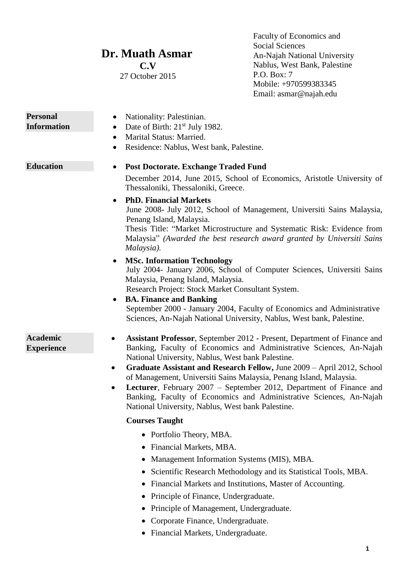## **Dr. Muath Asmar**

**C.V** 27 October 2015

Faculty of Economics and Social Sciences An-Najah National University Nablus, West Bank, Palestine P.O. Box: 7 Mobile: +970599383345 Email: asmar@najah.edu

| <b>Personal</b>                      | Nationality: Palestinian.                                                                                                                                                                                                                                                                                                                                                                                                                                                                                                                                                         |
|--------------------------------------|-----------------------------------------------------------------------------------------------------------------------------------------------------------------------------------------------------------------------------------------------------------------------------------------------------------------------------------------------------------------------------------------------------------------------------------------------------------------------------------------------------------------------------------------------------------------------------------|
| <b>Information</b>                   | Date of Birth: 21 <sup>st</sup> July 1982.                                                                                                                                                                                                                                                                                                                                                                                                                                                                                                                                        |
|                                      | Marital Status: Married.<br>$\bullet$                                                                                                                                                                                                                                                                                                                                                                                                                                                                                                                                             |
|                                      | Residence: Nablus, West bank, Palestine.<br>$\bullet$                                                                                                                                                                                                                                                                                                                                                                                                                                                                                                                             |
| <b>Education</b>                     | <b>Post Doctorate. Exchange Traded Fund</b>                                                                                                                                                                                                                                                                                                                                                                                                                                                                                                                                       |
|                                      | December 2014, June 2015, School of Economics, Aristotle University of<br>Thessaloniki, Thessaloniki, Greece.                                                                                                                                                                                                                                                                                                                                                                                                                                                                     |
|                                      | <b>PhD. Financial Markets</b><br>June 2008- July 2012, School of Management, Universiti Sains Malaysia,<br>Penang Island, Malaysia.<br>Thesis Title: "Market Microstructure and Systematic Risk: Evidence from<br>Malaysia" (Awarded the best research award granted by Universiti Sains<br>Malaysia).                                                                                                                                                                                                                                                                            |
|                                      | <b>MSc. Information Technology</b><br>July 2004- January 2006, School of Computer Sciences, Universiti Sains<br>Malaysia, Penang Island, Malaysia.<br>Research Project: Stock Market Consultant System.<br><b>BA. Finance and Banking</b>                                                                                                                                                                                                                                                                                                                                         |
|                                      | September 2000 - January 2004, Faculty of Economics and Administrative<br>Sciences, An-Najah National University, Nablus, West bank, Palestine.                                                                                                                                                                                                                                                                                                                                                                                                                                   |
| <b>Academic</b><br><b>Experience</b> | Assistant Professor, September 2012 - Present, Department of Finance and<br>Banking, Faculty of Economics and Administrative Sciences, An-Najah<br>National University, Nablus, West bank Palestine.<br>Graduate Assistant and Research Fellow, June 2009 - April 2012, School<br>$\bullet$<br>of Management, Universiti Sains Malaysia, Penang Island, Malaysia.<br>Lecturer, February 2007 - September 2012, Department of Finance and<br>$\bullet$<br>Banking, Faculty of Economics and Administrative Sciences, An-Najah<br>National University, Nablus, West bank Palestine. |
|                                      | <b>Courses Taught</b>                                                                                                                                                                                                                                                                                                                                                                                                                                                                                                                                                             |
|                                      | • Portfolio Theory, MBA.<br>Financial Markets, MBA.<br>Management Information Systems (MIS), MBA.<br>Scientific Research Methodology and its Statistical Tools, MBA.<br>Financial Markets and Institutions, Master of Accounting.<br>Principle of Finance, Undergraduate.<br>Principle of Management, Undergraduate.<br>Corporate Finance, Undergraduate.<br>• Financial Markets, Undergraduate.                                                                                                                                                                                  |
|                                      | 1                                                                                                                                                                                                                                                                                                                                                                                                                                                                                                                                                                                 |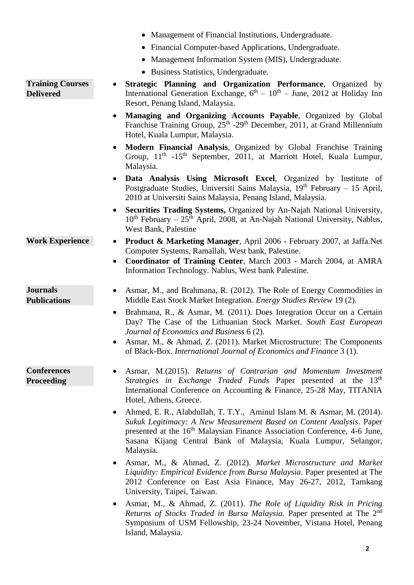- Management of Financial Institutions, Undergraduate.
- Financial Computer-based Applications, Undergraduate.
- Management Information System (MIS), Undergraduate.
- Business Statistics, Undergraduate.

**Training Courses Delivered**

- **Strategic Planning and Organization Performance**, Organized by International Generation Exchange,  $6<sup>th</sup> - 10<sup>th</sup> - June$ , 2012 at Holiday Inn Resort, Penang Island, Malaysia.
	- **Managing and Organizing Accounts Payable**, Organized by Global Franchise Training Group, 25<sup>th</sup> -29<sup>th</sup> December, 2011, at Grand Millennium Hotel, Kuala Lumpur, Malaysia.
	- **Modern Financial Analysis**, Organized by Global Franchise Training Group, 11<sup>th</sup> -15<sup>th</sup> September, 2011, at Marriott Hotel, Kuala Lumpur, Malaysia.
	- **Data Analysis Using Microsoft Excel**, Organized by Institute of Postgraduate Studies, Universiti Sains Malaysia,  $19<sup>th</sup>$  February – 15 April, 2010 at Universiti Sains Malaysia, Penang Island, Malaysia.
	- **Securities Trading Systems,** Organized by An-Najah National University,  $10^{th}$  February –  $25^{th}$  April, 2008, at An-Najah National University, Nablus, West Bank, Palestine
- **Work Experience Product & Marketing Manager**, April 2006 February 2007, at Jaffa.Net Computer Systems, Ramallah, West bank, Palestine.
	- **Coordinator of Training Center**, March 2003 March 2004, at AMRA Information Technology. Nablus, West bank Palestine.
	- Asmar, M., and Brahmana, R. (2012). The Role of Energy Commodities in Middle East Stock Market Integration. *Energy Studies Review* 19 (2).
	- Brahmana, R., & Asmar, M. (2011). Does Integration Occur on a Certain Day? The Case of the Lithuanian Stock Market. *South East European Journal of Economics and Business* 6 (2).
	- Asmar, M., & Ahmad, Z. (2011). Market Microstructure: The Components of Black-Box. *International Journal of Economics and Finance* 3 (1).
- **Conferences Proceeding**

**Journals Publications** 

- Asmar, M.(2015). *Returns of Contrarian and Momentum Investment Strategies in Exchange Traded Funds* Paper presented at the 13<sup>th</sup> International Conference on Accounting & Finance, 25-28 May, TITANIA Hotel, Athens, Greece.
- Ahmed, E. R., Alabdullah, T. T.Y., Aminul Islam M. & Asmar, M. (2014). *Sukuk Legitimacy: A New Measurement Based on Content Analysis*. Paper presented at the 16<sup>th</sup> Malaysian Finance Association Conference, 4-6 June, Sasana Kijang Central Bank of Malaysia, Kuala Lumpur, Selangor, Malaysia.
- Asmar, M., & Ahmad, Z. (2012). *Market Microstructure and Market Liquidity: Empirical Evidence from Bursa Malaysia*. Paper presented at The 2012 Conference on East Asia Finance, May 26-27, 2012, Tamkang University, Taipei, Taiwan.
- Asmar, M., & Ahmad, Z. (2011). *The Role of Liquidity Risk in Pricing*  Returns of Stocks Traded in Bursa Malaysia. Paper presented at The 2<sup>nd</sup> Symposium of USM Fellowship, 23-24 November, Vistana Hotel, Penang Island, Malaysia.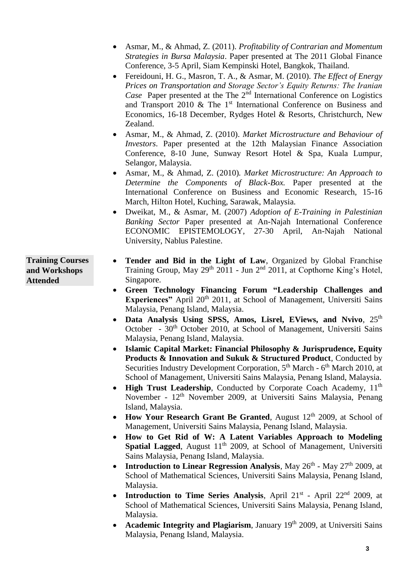- Asmar, M., & Ahmad, Z. (2011). *Profitability of Contrarian and Momentum Strategies in Bursa Malaysia*. Paper presented at The 2011 Global Finance Conference, 3-5 April, Siam Kempinski Hotel, Bangkok, Thailand.
- Fereidouni, H. G., Masron, T. A., & Asmar, M. (2010). *The Effect of Energy Prices on Transportation and Storage Sector's Equity Returns: The Iranian Case* Paper presented at the The 2<sup>nd</sup> International Conference on Logistics and Transport 2010  $\&$  The 1<sup>st</sup> International Conference on Business and Economics, 16-18 December, Rydges Hotel & Resorts, Christchurch, New Zealand.
- Asmar, M., & Ahmad, Z. (2010). *Market Microstructure and Behaviour of Investors*. Paper presented at the 12th Malaysian Finance Association Conference, 8-10 June, Sunway Resort Hotel & Spa, Kuala Lumpur, Selangor, Malaysia.
- Asmar, M., & Ahmad, Z. (2010)*. Market Microstructure: An Approach to Determine the Components of Black-Box.* Paper presented at the International Conference on Business and Economic Research, 15-16 March, Hilton Hotel, Kuching, Sarawak, Malaysia.
- Dweikat, M., & Asmar, M. (2007) *Adoption of E-Training in Palestinian Banking Sector* Paper presented at An-Najah International Conference ECONOMIC EPISTEMOLOGY, 27-30 April, An-Najah National University, Nablus Palestine.

**Training Courses and Workshops Attended**

- **Tender and Bid in the Light of Law**, Organized by Global Franchise Training Group, May  $29<sup>th</sup>$  2011 - Jun  $2<sup>nd</sup>$  2011, at Copthorne King's Hotel, Singapore.
- **Green Technology Financing Forum "Leadership Challenges and Experiences**" April 20<sup>th</sup> 2011, at School of Management, Universiti Sains Malaysia, Penang Island, Malaysia.
- Data Analysis Using SPSS, Amos, Lisrel, EViews, and Nvivo, 25<sup>th</sup> October - 30<sup>th</sup> October 2010, at School of Management, Universiti Sains Malaysia, Penang Island, Malaysia.
- **Islamic Capital Market: Financial Philosophy & Jurisprudence, Equity Products & Innovation and Sukuk & Structured Product**, Conducted by Securities Industry Development Corporation, 5<sup>th</sup> March - 6<sup>th</sup> March 2010, at School of Management, Universiti Sains Malaysia, Penang Island, Malaysia.
- **High Trust Leadership**, Conducted by Corporate Coach Academy, 11<sup>th</sup> November - 12<sup>th</sup> November 2009, at Universiti Sains Malaysia, Penang Island, Malaysia.
- How Your Research Grant Be Granted, August 12<sup>th</sup> 2009, at School of Management, Universiti Sains Malaysia, Penang Island, Malaysia.
- **How to Get Rid of W: A Latent Variables Approach to Modeling Spatial Lagged**, August 11<sup>th</sup> 2009, at School of Management, Universiti Sains Malaysia, Penang Island, Malaysia.
- Introduction to Linear Regression Analysis, May 26<sup>th</sup> May 27<sup>th</sup> 2009, at School of Mathematical Sciences, Universiti Sains Malaysia, Penang Island, Malaysia.
- Introduction to Time Series Analysis, April 21<sup>st</sup> April 22<sup>nd</sup> 2009, at School of Mathematical Sciences, Universiti Sains Malaysia, Penang Island, Malaysia.
- Academic Integrity and Plagiarism, January 19<sup>th</sup> 2009, at Universiti Sains Malaysia, Penang Island, Malaysia.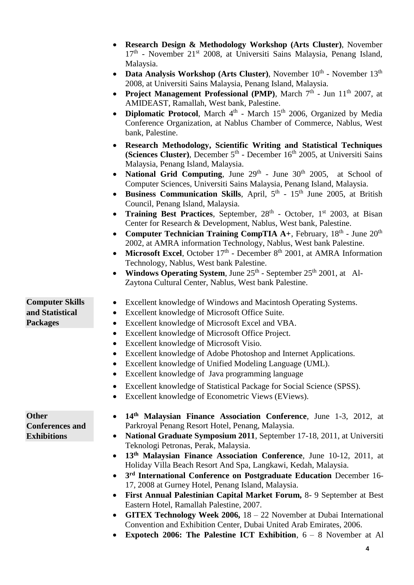|                                                              | Research Design & Methodology Workshop (Arts Cluster), November<br>17 <sup>th</sup> - November 21 <sup>st</sup> 2008, at Universiti Sains Malaysia, Penang Island,<br>Malaysia.                                                                                                                                                                                                                                                                                                                                                                                                                                                                                                                                                                                                                                                                                                                                                                                                                                                                                                                                                                                   |
|--------------------------------------------------------------|-------------------------------------------------------------------------------------------------------------------------------------------------------------------------------------------------------------------------------------------------------------------------------------------------------------------------------------------------------------------------------------------------------------------------------------------------------------------------------------------------------------------------------------------------------------------------------------------------------------------------------------------------------------------------------------------------------------------------------------------------------------------------------------------------------------------------------------------------------------------------------------------------------------------------------------------------------------------------------------------------------------------------------------------------------------------------------------------------------------------------------------------------------------------|
|                                                              | <b>Data Analysis Workshop (Arts Cluster), November 10<sup>th</sup> - November 13<sup>th</sup></b><br>2008, at Universiti Sains Malaysia, Penang Island, Malaysia.<br><b>Project Management Professional (PMP)</b> , March $7th$ - Jun $11th$ 2007, at<br>$\bullet$<br>AMIDEAST, Ramallah, West bank, Palestine.<br>Diplomatic Protocol, March 4 <sup>th</sup> - March 15 <sup>th</sup> 2006, Organized by Media<br>$\bullet$<br>Conference Organization, at Nablus Chamber of Commerce, Nablus, West<br>bank, Palestine.                                                                                                                                                                                                                                                                                                                                                                                                                                                                                                                                                                                                                                          |
|                                                              | Research Methodology, Scientific Writing and Statistical Techniques<br>(Sciences Cluster), December 5 <sup>th</sup> - December 16 <sup>th</sup> 2005, at Universiti Sains<br>Malaysia, Penang Island, Malaysia.<br><b>National Grid Computing</b> , June $29th$ - June $30th$ 2005, at School of<br>Computer Sciences, Universiti Sains Malaysia, Penang Island, Malaysia.<br><b>Business Communication Skills</b> , April, $5th$ - $15th$ June 2005, at British<br>Council, Penang Island, Malaysia.<br>Training Best Practices, September, 28 <sup>th</sup> - October, 1 <sup>st</sup> 2003, at Bisan<br>$\bullet$<br>Center for Research & Development, Nablus, West bank, Palestine.<br><b>Computer Technician Training CompTIA A+, February, <math>18th</math> - June <math>20th</math></b><br>$\bullet$<br>2002, at AMRA information Technology, Nablus, West bank Palestine.<br>Microsoft Excel, October $17th$ - December $8th$ 2001, at AMRA Information<br>Technology, Nablus, West bank Palestine.<br><b>Windows Operating System, June 25th</b> - September $25th$ 2001, at Al-<br>$\bullet$<br>Zaytona Cultural Center, Nablus, West bank Palestine. |
| <b>Computer Skills</b><br>and Statistical<br><b>Packages</b> | Excellent knowledge of Windows and Macintosh Operating Systems.<br>Excellent knowledge of Microsoft Office Suite.<br>$\bullet$<br>Excellent knowledge of Microsoft Excel and VBA.<br>$\bullet$<br>Excellent knowledge of Microsoft Office Project.<br>$\bullet$<br>Excellent knowledge of Microsoft Visio.<br>$\bullet$<br>Excellent knowledge of Adobe Photoshop and Internet Applications.<br>Excellent knowledge of Unified Modeling Language (UML).<br>Excellent knowledge of Java programming language<br>٠                                                                                                                                                                                                                                                                                                                                                                                                                                                                                                                                                                                                                                                  |
| <b>Other</b>                                                 | Excellent knowledge of Statistical Package for Social Science (SPSS).<br>٠<br>Excellent knowledge of Econometric Views (EViews).<br>14th Malaysian Finance Association Conference, June 1-3, 2012, at                                                                                                                                                                                                                                                                                                                                                                                                                                                                                                                                                                                                                                                                                                                                                                                                                                                                                                                                                             |
| <b>Conferences and</b><br><b>Exhibitions</b>                 | Parkroyal Penang Resort Hotel, Penang, Malaysia.<br>National Graduate Symposium 2011, September 17-18, 2011, at Universiti<br>$\bullet$<br>Teknologi Petronas, Perak, Malaysia.<br>13 <sup>th</sup> Malaysian Finance Association Conference, June 10-12, 2011, at<br>$\bullet$<br>Holiday Villa Beach Resort And Spa, Langkawi, Kedah, Malaysia.<br>3rd International Conference on Postgraduate Education December 16-<br>$\bullet$<br>17, 2008 at Gurney Hotel, Penang Island, Malaysia.<br>First Annual Palestinian Capital Market Forum, 8-9 September at Best<br>٠<br>Eastern Hotel, Ramallah Palestine, 2007.<br><b>GITEX Technology Week 2006,</b> $18 - 22$ November at Dubai International<br>$\bullet$<br>Convention and Exhibition Center, Dubai United Arab Emirates, 2006.                                                                                                                                                                                                                                                                                                                                                                          |

**Expotech 2006: The Palestine ICT Exhibition**, 6 – 8 November at Al

**4**